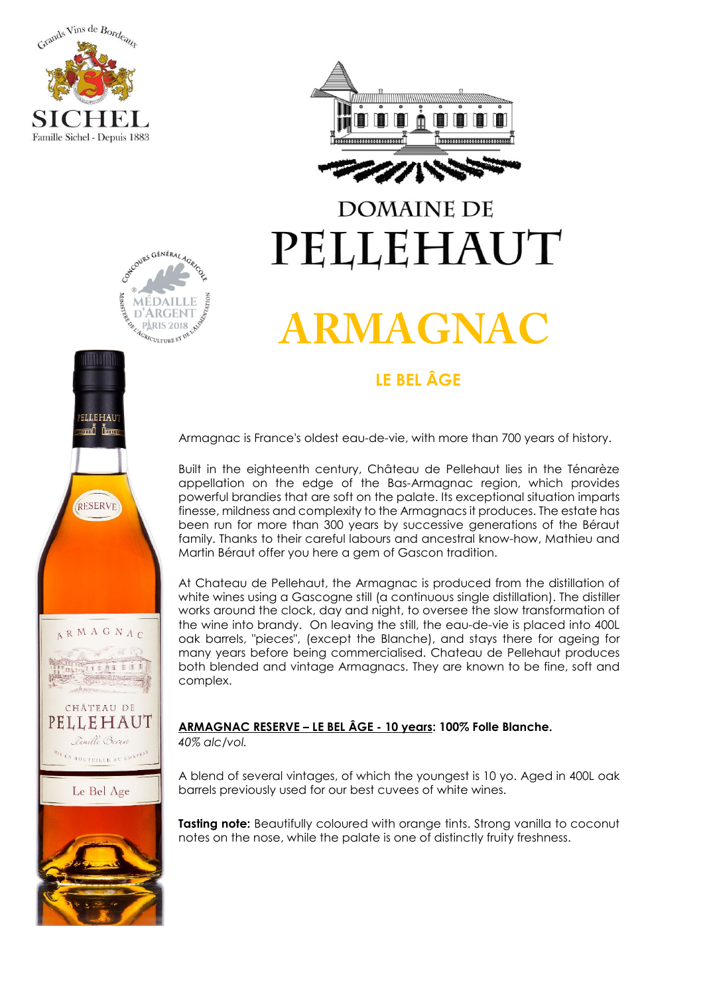





# **DOMAINE DE** PELLEHAUT

## **ARMAGNAC**

Armagnac is France's oldest eau-de-vie, with more than 700 years of history.

Built in the eighteenth century, Château de Pellehaut lies in the Ténarèze appellation on the edge of the Bas-Armagnac region, which provides powerful brandies that are soft on the palate. Its exceptional situation imparts finesse, mildness and complexity to the Armagnacs it produces. The estate has been run for more than 300 years by successive generations of the Béraut family. Thanks to their careful labours and ancestral know-how, Mathieu and Martin Béraut offer you here a gem of Gascon tradition.

At Chateau de Pellehaut, the Armagnac is produced from the distillation of white wines using a Gascogne still (a continuous single distillation). The distiller works around the clock, day and night, to oversee the slow transformation of the wine into brandy. On leaving the still, the eau-de-vie is placed into 400L oak barrels, "pieces", (except the Blanche), and stays there for ageing for many years before being commercialised. Chateau de Pellehaut produces both blended and vintage Armagnacs. They are known to be fine, soft and complex.

#### **ARMAGNAC RESERVE – 10 years: 100% Folle Blanche.**

**U** 

*40% alc/vol.*

A blend of several vintages, of which the youngest is 10 yo. Aged in 400L oak barrels previously used for our best cuvees of white wines.

**Tasting note:** Beautifully coloured with orange tints. Strong vanilla to coconut notes on the nose, while the palate is one of distinctly fruity freshness.